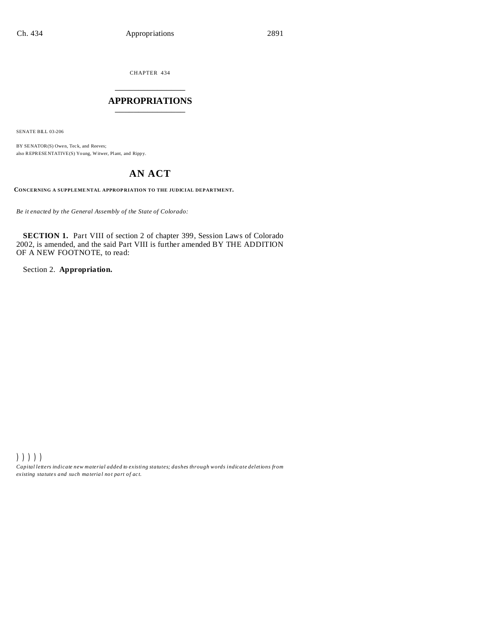CHAPTER 434 \_\_\_\_\_\_\_\_\_\_\_\_\_\_\_

### **APPROPRIATIONS** \_\_\_\_\_\_\_\_\_\_\_\_\_\_\_

SENATE BILL 03-206

BY SENATOR(S) Owen, Teck, and Reeves; also REPRESENTATIVE(S) Young, Witwer, Plant, and Rippy.

# **AN ACT**

**CONCERNING A SUPPLEME NTAL APPROP RIATION TO THE JUDICIAL DEPARTMENT.**

*Be it enacted by the General Assembly of the State of Colorado:*

**SECTION 1.** Part VIII of section 2 of chapter 399, Session Laws of Colorado 2002, is amended, and the said Part VIII is further amended BY THE ADDITION OF A NEW FOOTNOTE, to read:

Section 2. **Appropriation.**

))))) *Capital letters indicate new material added to existing statutes; dashes through words indicate deletions from ex isting statute s and such ma teria l no t pa rt of ac t.*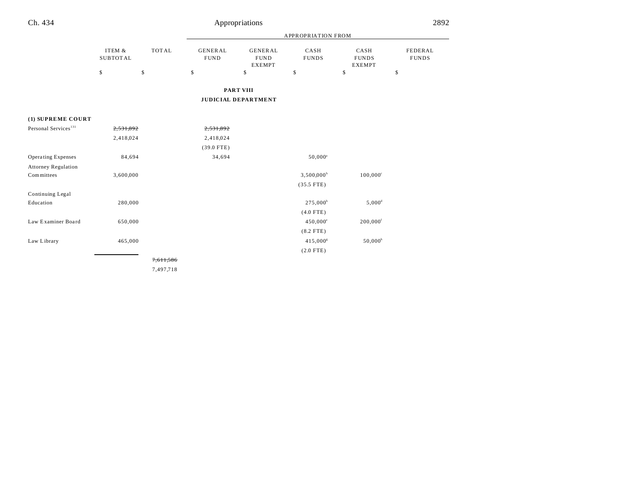|                                  |                                           |                    |                                     |                                                      | <b>APPROPRIATION FROM</b>  |                                             |                               |
|----------------------------------|-------------------------------------------|--------------------|-------------------------------------|------------------------------------------------------|----------------------------|---------------------------------------------|-------------------------------|
|                                  | ITEM &<br><b>SUBTOTAL</b><br>$\mathbb{S}$ | <b>TOTAL</b><br>\$ | <b>GENERAL</b><br><b>FUND</b><br>\$ | <b>GENERAL</b><br><b>FUND</b><br><b>EXEMPT</b><br>\$ | CASH<br><b>FUNDS</b><br>\$ | CASH<br><b>FUNDS</b><br><b>EXEMPT</b><br>\$ | FEDERAL<br><b>FUNDS</b><br>\$ |
|                                  |                                           |                    |                                     | <b>PART VIII</b>                                     |                            |                                             |                               |
|                                  |                                           |                    |                                     | <b>JUDICIAL DEPARTMENT</b>                           |                            |                                             |                               |
|                                  |                                           |                    |                                     |                                                      |                            |                                             |                               |
| (1) SUPREME COURT                |                                           |                    |                                     |                                                      |                            |                                             |                               |
| Personal Services <sup>131</sup> | 2,531,892                                 |                    | 2,531,892                           |                                                      |                            |                                             |                               |
|                                  | 2,418,024                                 |                    | 2,418,024                           |                                                      |                            |                                             |                               |
|                                  |                                           |                    | $(39.0$ FTE)                        |                                                      |                            |                                             |                               |
| <b>Operating Expenses</b>        | 84,694                                    |                    | 34,694                              |                                                      | $50,000^a$                 |                                             |                               |
| <b>Attorney Regulation</b>       |                                           |                    |                                     |                                                      |                            |                                             |                               |
| Committees                       | 3,600,000                                 |                    |                                     |                                                      | $3,500,000^{\rm b}$        | $100,000^{\circ}$                           |                               |
|                                  |                                           |                    |                                     |                                                      | $(35.5$ FTE)               |                                             |                               |
| Continuing Legal                 |                                           |                    |                                     |                                                      |                            |                                             |                               |
| Education                        | 280,000                                   |                    |                                     |                                                      | $275,000^{\circ}$          | $5,000^d$                                   |                               |
|                                  |                                           |                    |                                     |                                                      | $(4.0$ FTE)                |                                             |                               |
| Law Examiner Board               | 650,000                                   |                    |                                     |                                                      | $450,000^{\circ}$          | $200,000$ <sup>f</sup>                      |                               |
|                                  |                                           |                    |                                     |                                                      | $(8.2$ FTE)                |                                             |                               |
| Law Library                      | 465,000                                   |                    |                                     |                                                      | $415,000^s$                | $50,000^h$                                  |                               |
|                                  |                                           |                    |                                     |                                                      | $(2.0$ FTE)                |                                             |                               |

7,611,586

7,497,718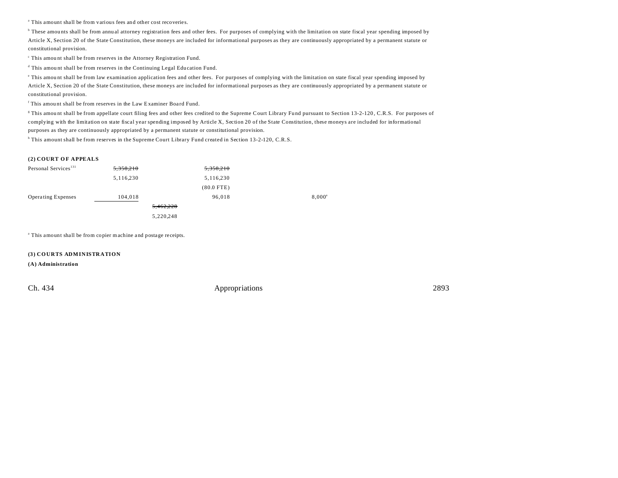<sup>a</sup> This amount shall be from various fees and other cost recoveries.

b These amou nts shall be from annu al attorney registration fees and other fees. For purposes of complying with the limitation on state fiscal year spending imposed by Article X, Section 20 of the State Constitution, these moneys are included for informational purposes as they are continuously appropriated by a permanent statute or constitutional provision.

c This amou nt shall be from reserves in the Attorney Registration Fund.

<sup>d</sup> This amount shall be from reserves in the Continuing Legal Education Fund.

e This amou nt shall be from law examination application fees and other fees. For purposes of complying with the limitation on state fiscal year spending imposed by Article X, Section 20 of the State Constitution, these moneys are included for informational purposes as they are continuously appropriated by a permanent statute or constitutional provision.

<sup>f</sup> This amount shall be from reserves in the Law Examiner Board Fund.

g This amou nt shall be from appellate court filing fees and other fees credited to the Supreme Court Library Fu nd pursuant to Section 13-2-120 , C.R.S. For purposes of complying with the limitation on state fiscal year spending imposed by Article X, Section 20 of the State Constitution, these moneys are included for informational purposes as they are continuously appropriated by a permanent statute or constitutional provision.

<sup>h</sup> This amount shall be from reserves in the Supreme Court Library Fund created in Section 13-2-120, C.R.S.

### **(2) COURT O F APPEALS**

| Personal Services <sup>131</sup> | 5,358,210 | 5,358,210    |                 |
|----------------------------------|-----------|--------------|-----------------|
|                                  | 5,116,230 | 5, 116, 230  |                 |
|                                  |           | $(80.0$ FTE) |                 |
| <b>Operating Expenses</b>        | 104,018   | 96,018       | $8,000^{\circ}$ |
|                                  | 5,462,228 |              |                 |
|                                  | 5,220,248 |              |                 |

<sup>a</sup> This amount shall be from copier machine and postage receipts.

**(3) COURTS ADMINISTRATION**

**(A) Administration**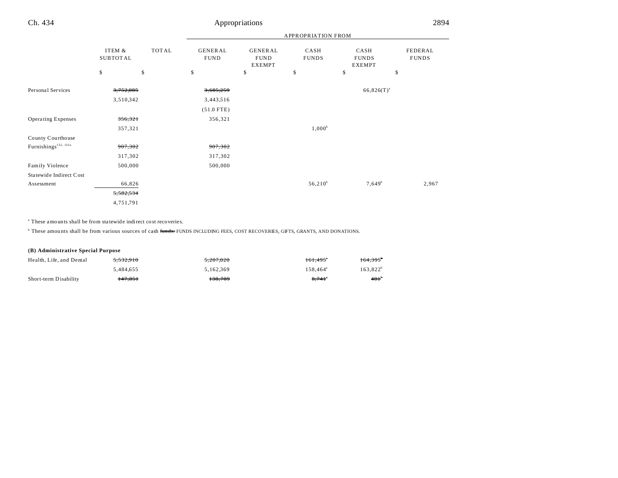|                                  |                           |       | <b>APPROPRIATION FROM</b>     |                                                |                      |                                       |                         |
|----------------------------------|---------------------------|-------|-------------------------------|------------------------------------------------|----------------------|---------------------------------------|-------------------------|
|                                  | ITEM &<br><b>SUBTOTAL</b> | TOTAL | <b>GENERAL</b><br><b>FUND</b> | <b>GENERAL</b><br><b>FUND</b><br><b>EXEMPT</b> | CASH<br><b>FUNDS</b> | CASH<br><b>FUNDS</b><br><b>EXEMPT</b> | FEDERAL<br><b>FUNDS</b> |
|                                  | \$                        | \$    | \$                            | \$                                             | \$                   | \$                                    | \$                      |
| Personal Services                | 3,752,085                 |       | 3,685,259                     |                                                |                      | $66,826(T)^{a}$                       |                         |
|                                  | 3,510,342                 |       | 3,443,516                     |                                                |                      |                                       |                         |
|                                  |                           |       | $(51.0$ FTE)                  |                                                |                      |                                       |                         |
| <b>Operating Expenses</b>        | 356,321                   |       | 356,321                       |                                                |                      |                                       |                         |
|                                  | 357,321                   |       |                               |                                                | $1,000^b$            |                                       |                         |
| County Courthouse                |                           |       |                               |                                                |                      |                                       |                         |
| Furnishings <sup>132, 132a</sup> | 907,302                   |       | 907,302                       |                                                |                      |                                       |                         |
|                                  | 317,302                   |       | 317,302                       |                                                |                      |                                       |                         |
| Family Violence                  | 500,000                   |       | 500,000                       |                                                |                      |                                       |                         |
| Statewide Indirect Cost          |                           |       |                               |                                                |                      |                                       |                         |
| Assessment                       | 66,826                    |       |                               |                                                | $56,210^b$           | $7,649^b$                             | 2,967                   |
|                                  | 5,582,534                 |       |                               |                                                |                      |                                       |                         |
|                                  | 4,751,791                 |       |                               |                                                |                      |                                       |                         |

a These amounts shall be from sta tewide indirect cost recoveries.

<sup>b</sup> These amounts shall be from various sources of cash <del>funds.</del> FUNDS INCLUDING FEES, COST RECOVERIES, GIFTS, GRANTS, AND DONATIONS.

### **(B) Administrative Special Purpose**

| Health, Life, and Dental | 5.532.910          | 5.207.020 | 161.495°             | $164.395^{\circ}$ |
|--------------------------|--------------------|-----------|----------------------|-------------------|
|                          | 5.484.655          | 5.162.369 | $158.464^a$          | $163.822^b$       |
| Short-term Disability    | <del>147.851</del> | 138.709   | $8.741$ <sup>*</sup> | $401^{\circ}$     |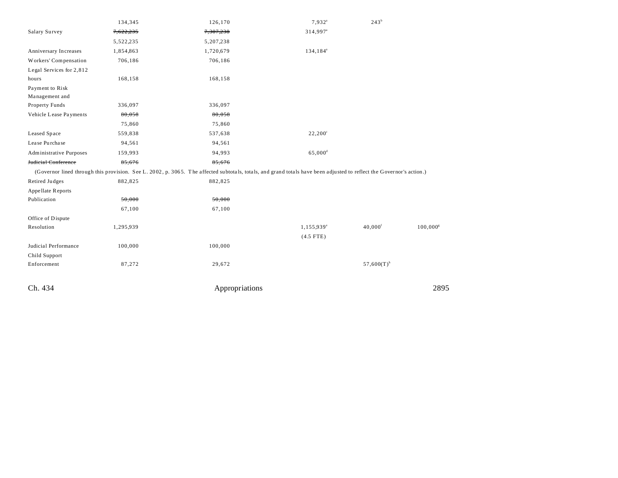|                                | 134,345   | 126,170                                                                                                                                                              | $7,932^a$              | 243 <sup>b</sup>         |             |
|--------------------------------|-----------|----------------------------------------------------------------------------------------------------------------------------------------------------------------------|------------------------|--------------------------|-------------|
| Salary Survey                  | 7,622,235 | 7,307,238                                                                                                                                                            | 314,997 <sup>a</sup>   |                          |             |
|                                | 5,522,235 | 5,207,238                                                                                                                                                            |                        |                          |             |
| Anniversary Increases          | 1,854,863 | 1,720,679                                                                                                                                                            | 134,184 <sup>a</sup>   |                          |             |
| Workers' Compensation          | 706,186   | 706,186                                                                                                                                                              |                        |                          |             |
| Legal Services for 2,812       |           |                                                                                                                                                                      |                        |                          |             |
| hours                          | 168,158   | 168,158                                                                                                                                                              |                        |                          |             |
| Payment to Risk                |           |                                                                                                                                                                      |                        |                          |             |
| Management and                 |           |                                                                                                                                                                      |                        |                          |             |
| Property Funds                 | 336,097   | 336,097                                                                                                                                                              |                        |                          |             |
| Vehicle Lease Payments         | 80,058    | 80,058                                                                                                                                                               |                        |                          |             |
|                                | 75,860    | 75,860                                                                                                                                                               |                        |                          |             |
| Leased Space                   | 559,838   | 537,638                                                                                                                                                              | $22,200^{\circ}$       |                          |             |
| Lease Purchase                 | 94,561    | 94,561                                                                                                                                                               |                        |                          |             |
| <b>Administrative Purposes</b> | 159,993   | 94,993                                                                                                                                                               | $65,000$ <sup>d</sup>  |                          |             |
| Judicial Conference            | 85,676    | 85,676                                                                                                                                                               |                        |                          |             |
|                                |           | (Governor lined through this provision. See L. 2002, p. 3065. The affected subtotals, totals, and grand totals have been adjusted to reflect the Governor's action.) |                        |                          |             |
| Retired Judges                 | 882,825   | 882,825                                                                                                                                                              |                        |                          |             |
| Appellate Reports              |           |                                                                                                                                                                      |                        |                          |             |
| Publication                    | 50,000    | 50,000                                                                                                                                                               |                        |                          |             |
|                                | 67,100    | 67,100                                                                                                                                                               |                        |                          |             |
| Office of Dispute              |           |                                                                                                                                                                      |                        |                          |             |
| Resolution                     | 1,295,939 |                                                                                                                                                                      | 1,155,939 <sup>e</sup> | $40,000$ <sup>f</sup>    | $100,000^s$ |
|                                |           |                                                                                                                                                                      | $(4.5$ FTE)            |                          |             |
| Judicial Performance           | 100,000   | 100,000                                                                                                                                                              |                        |                          |             |
| Child Support                  |           |                                                                                                                                                                      |                        |                          |             |
| Enforcement                    | 87,272    | 29,672                                                                                                                                                               |                        | $57,600(T)$ <sup>h</sup> |             |
| Ch. 434                        |           | Appropriations                                                                                                                                                       |                        |                          | 2895        |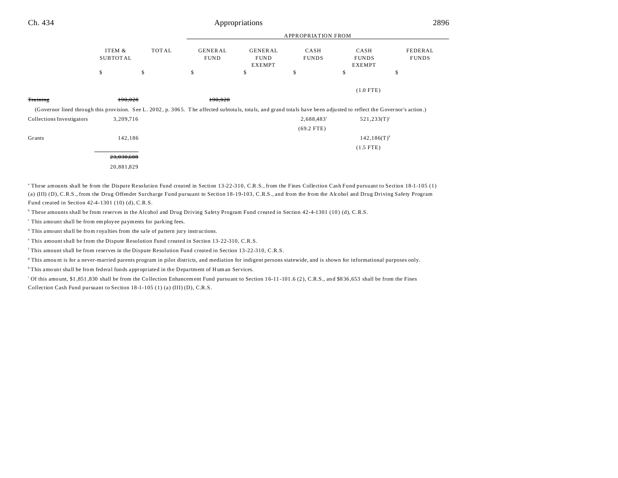| Ch. 434                                                                                                                                                              | Appropriations            |              |                               |                                         |                      |                                       | 2896                    |  |
|----------------------------------------------------------------------------------------------------------------------------------------------------------------------|---------------------------|--------------|-------------------------------|-----------------------------------------|----------------------|---------------------------------------|-------------------------|--|
|                                                                                                                                                                      |                           |              |                               | <b>APPROPRIATION FROM</b>               |                      |                                       |                         |  |
|                                                                                                                                                                      | ITEM &<br><b>SUBTOTAL</b> | <b>TOTAL</b> | <b>GENERAL</b><br><b>FUND</b> | GENERAL<br><b>FUND</b><br><b>EXEMPT</b> | CASH<br><b>FUNDS</b> | CASH<br><b>FUNDS</b><br><b>EXEMPT</b> | FEDERAL<br><b>FUNDS</b> |  |
|                                                                                                                                                                      | \$                        | \$           | \$                            | \$                                      | \$                   | \$                                    | \$                      |  |
|                                                                                                                                                                      |                           |              |                               |                                         |                      | $(1.0$ FTE)                           |                         |  |
| <b>Training</b>                                                                                                                                                      | 190,028                   |              | 190,028                       |                                         |                      |                                       |                         |  |
| (Governor lined through this provision. See L. 2002, p. 3065. The affected subtotals, totals, and grand totals have been adjusted to reflect the Governor's action.) |                           |              |                               |                                         |                      |                                       |                         |  |
| <b>Collections Investigators</b>                                                                                                                                     | 3,209,716                 |              |                               |                                         | 2,688,483            | $521,233(T)^{j}$                      |                         |  |
|                                                                                                                                                                      |                           |              |                               |                                         | $(69.2$ FTE)         |                                       |                         |  |
| Grants                                                                                                                                                               | 142,186                   |              |                               |                                         |                      | $142, 186(T)^k$                       |                         |  |
|                                                                                                                                                                      |                           |              |                               |                                         |                      | $(1.5$ FTE)                           |                         |  |
|                                                                                                                                                                      | 23,030,688                |              |                               |                                         |                      |                                       |                         |  |
|                                                                                                                                                                      | 20,881,829                |              |                               |                                         |                      |                                       |                         |  |

a These amounts shall be from the Dispute Resolution Fund created in Section 13-22-310, C.R.S., from the Fines Collection Cash Fund pursuant to Section 18-1-105 (1) (a) (III) (D), C.R.S., from the Drug Offender Surcharge Fund pursuant to Section 18-19-103, C.R.S., and from the from the Alcohol and Drug Driving Safety Program Fund created in Section 42-4-1301 (10) (d), C.R.S.

<sup>b</sup> These amounts shall be from reserves in the Alcohol and Drug Driving Safety Program Fund created in Section 42-4-1301 (10) (d), C.R.S.

c This amount shall be from employee payments for parking fees.

<sup>d</sup> This amount shall be from royalties from the sale of pattern jury instructions.

e This amount shall be from the Dispute Resolution Fund created in Section 13-22-310, C.R.S.

f This amount shall be from reserves in the Dispute Resolution Fund created in Section 13-22-310, C.R.S.

g This amou nt is for a never-married parents program in pilot districts, and mediation for indigent persons statewide, and is shown for informational purposes only.

<sup>h</sup>This amount shall be from federal funds appropriated in the Department of Human Services.

i Of this amount, \$1 ,851 ,830 shall be from the Collection Enhancement Fund pursuant to Section 16-11 -101 .6 (2), C.R.S., and \$8 36 ,653 shall be from the Fines Collection Cash Fund pursuant to Section 18-1-105 (1) (a) (III) (D), C.R.S.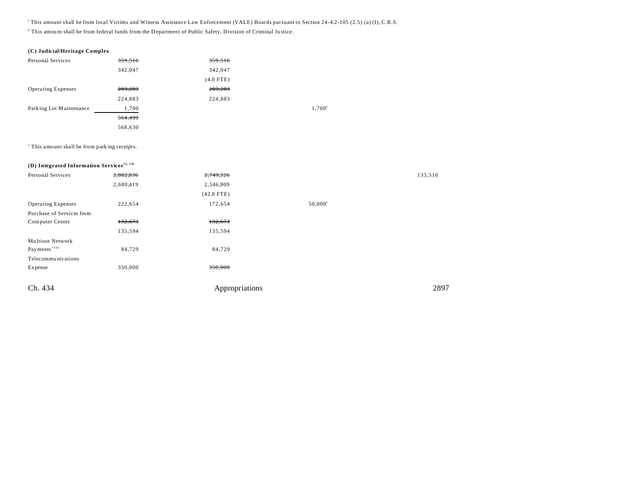j This amount shall be from local Victims and Witness Assistance Law Enforcement (VALE) Boards pursuant to Section 24-4.2-105 (2.5) (a) (I), C.R.S.

k This amou nt shall be from federal funds from the D epartment of Public Safety, Division of Criminal Ju stice.

### **(C) Judicial/Heritage Complex**

| Personal Services         | 359,516 | 359,516     |                    |
|---------------------------|---------|-------------|--------------------|
|                           | 342,047 | 342,047     |                    |
|                           |         | $(4.0$ FTE) |                    |
| <b>Operating Expenses</b> | 203,283 | 203,283     |                    |
|                           | 224,883 | 224,883     |                    |
| Parking Lot Maintenance   | 1,700   |             | 1,700 <sup>a</sup> |
|                           | 564,499 |             |                    |
|                           | 568,630 |             |                    |

a This amount shall be from park ing receipts.

| (D) Integrated Information Services <sup>12, 133</sup> |           |                |                  |         |
|--------------------------------------------------------|-----------|----------------|------------------|---------|
| Personal Services                                      | 2,882,836 | 2,749,326      |                  | 133,510 |
|                                                        | 2,680,419 | 2,546,909      |                  |         |
|                                                        |           | $(42.8$ FTE)   |                  |         |
| <b>Operating Expenses</b>                              | 222,654   | 172,654        | $50,000^{\circ}$ |         |
| Purchase of Services from                              |           |                |                  |         |
| Computer Center                                        | 132,673   | 132,673        |                  |         |
|                                                        | 135,594   | 135,594        |                  |         |
| Multiuse Network                                       |           |                |                  |         |
| Payments <sup>133a</sup>                               | 84,729    | 84,729         |                  |         |
| Telecommunications                                     |           |                |                  |         |
| Expense                                                | 350,000   | 350,000        |                  |         |
|                                                        |           |                |                  |         |
| Ch. 434                                                |           | Appropriations |                  | 2897    |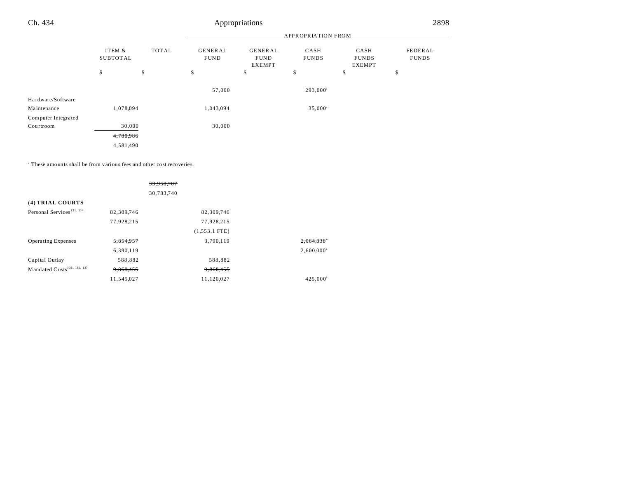|                                  |                           |        | <b>APPROPRIATION FROM</b>     |                                                |                      |                                       |                         |  |
|----------------------------------|---------------------------|--------|-------------------------------|------------------------------------------------|----------------------|---------------------------------------|-------------------------|--|
|                                  | ITEM &<br><b>SUBTOTAL</b> | TOTAL  | <b>GENERAL</b><br><b>FUND</b> | <b>GENERAL</b><br><b>FUND</b><br><b>EXEMPT</b> | CASH<br><b>FUNDS</b> | CASH<br><b>FUNDS</b><br><b>EXEMPT</b> | FEDERAL<br><b>FUNDS</b> |  |
|                                  | \$                        | \$     | \$                            | \$                                             | \$                   | \$                                    | \$                      |  |
|                                  |                           |        | 57,000                        |                                                | $293,000^a$          |                                       |                         |  |
| Hardware/Software<br>Maintenance | 1,078,094                 |        | 1,043,094                     |                                                | $35,000^{\circ}$     |                                       |                         |  |
| Computer Integrated              |                           |        |                               |                                                |                      |                                       |                         |  |
| Courtroom                        |                           | 30,000 | 30,000                        |                                                |                      |                                       |                         |  |
|                                  | 4,780,986                 |        |                               |                                                |                      |                                       |                         |  |
|                                  | 4,581,490                 |        |                               |                                                |                      |                                       |                         |  |

a These amounts shall be from various fees and other cost recoveries.

|                                         |            | 33,958,707      |                     |
|-----------------------------------------|------------|-----------------|---------------------|
|                                         |            | 30,783,740      |                     |
| (4) TRIAL COURTS                        |            |                 |                     |
| Personal Services <sup>131, 134</sup>   | 82,309,746 | 82,309,746      |                     |
|                                         | 77,928,215 | 77,928,215      |                     |
|                                         |            | $(1,553.1$ FTE) |                     |
| <b>Operating Expenses</b>               | 5.854.957  | 3.790.119       | 2.064.838           |
|                                         | 6,390,119  |                 | $2,600,000^{\circ}$ |
| Capital Outlay                          | 588,882    | 588,882         |                     |
| Mandated Costs <sup>135, 136, 137</sup> | 9.868.455  | 9.868.455       |                     |
|                                         | 11,545,027 | 11,120,027      | $425,000^a$         |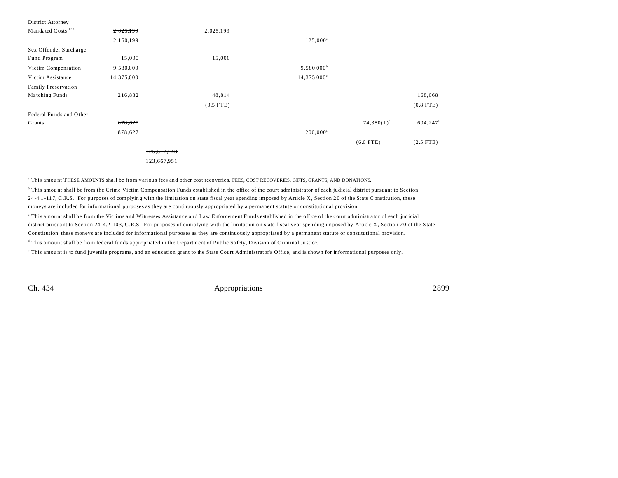| District Attorney             |            |             |             |                     |               |                   |
|-------------------------------|------------|-------------|-------------|---------------------|---------------|-------------------|
| Mandated Costs <sup>138</sup> | 2,025,199  |             | 2,025,199   |                     |               |                   |
|                               | 2,150,199  |             |             | $125,000^a$         |               |                   |
| Sex Offender Surcharge        |            |             |             |                     |               |                   |
| Fund Program                  | 15,000     |             | 15,000      |                     |               |                   |
| Victim Compensation           | 9,580,000  |             |             | $9,580,000^{\circ}$ |               |                   |
| Victim Assistance             | 14,375,000 |             |             | 14,375,000°         |               |                   |
| <b>Family Preservation</b>    |            |             |             |                     |               |                   |
| Matching Funds                | 216,882    |             | 48,814      |                     |               | 168,068           |
|                               |            |             | $(0.5$ FTE) |                     |               | $(0.8$ FTE)       |
| Federal Funds and Other       |            |             |             |                     |               |                   |
| Grants                        | 678,627    |             |             |                     | $74,380(T)^d$ | $604,247^{\circ}$ |
|                               | 878,627    |             |             | $200,000^a$         |               |                   |
|                               |            |             |             |                     | $(6.0$ FTE)   | $(2.5$ FTE)       |
|                               |            | 125,512,748 |             |                     |               |                   |
|                               |            | 123,667,951 |             |                     |               |                   |

<sup>a</sup> This amount THESE AMOUNTS shall be from various fees and other cost recoveries. FEES, COST RECOVERIES, GIFTS, GRANTS, AND DONATIONS.

b This amou nt shall be from the Crime Victim Compensation Funds established in the office of the court administrator of each judicial district pursuant to Section 24 -4.1 -11 7, C.R.S. For purposes of complying with the limitation on state fiscal year spending imposed by Article X, Section 2 0 of the State Constitu tion, these moneys are included for informational purposes as they are continuously appropriated by a permanent statute or constitutional provision.

c This amount shall be from the Victims and Witnesses Assistance and Law Enforcement Funds established in the office of the court administrator of each judicial district pursuant to Section 24-4.2-103, C.R.S. For purposes of complying with the limitation on state fiscal year spending imposed by Article X, Section 20 of the State Constitution, these moneys are included for informational purposes as they are continuously appropriated by a permanent statute or constitutional provision.

<sup>d</sup> This amount shall be from federal funds appropriated in the Department of Public Safety, Division of Criminal Justice.

e This amou nt is to fund juvenile programs, and an education grant to the State Court Administrator's Office, and is shown for informational purposes only.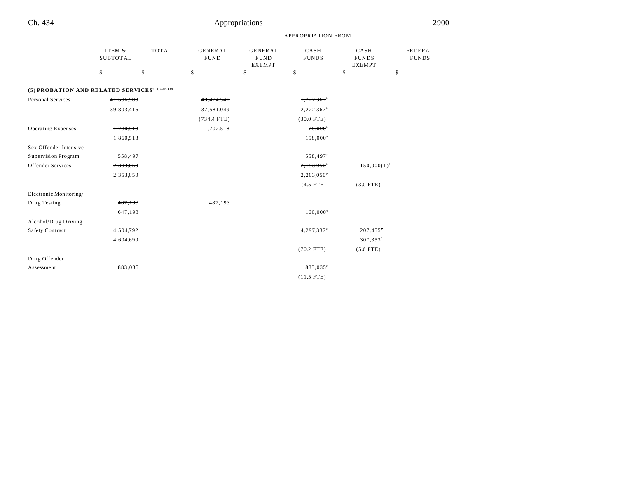|                                                              |                           |              | <b>APPROPRIATION FROM</b>     |                                                |                          |                                       |                         |  |
|--------------------------------------------------------------|---------------------------|--------------|-------------------------------|------------------------------------------------|--------------------------|---------------------------------------|-------------------------|--|
|                                                              | ITEM &<br><b>SUBTOTAL</b> | <b>TOTAL</b> | <b>GENERAL</b><br><b>FUND</b> | <b>GENERAL</b><br><b>FUND</b><br><b>EXEMPT</b> | CASH<br><b>FUNDS</b>     | CASH<br><b>FUNDS</b><br><b>EXEMPT</b> | FEDERAL<br><b>FUNDS</b> |  |
|                                                              | \$                        | \$           | \$                            | \$                                             | \$                       | \$                                    | \$                      |  |
| (5) PROBATION AND RELATED SERVICES <sup>7, 8, 139, 140</sup> |                           |              |                               |                                                |                          |                                       |                         |  |
| Personal Services                                            | 41,696,908                |              | 40,474,541                    |                                                | 1,222,367                |                                       |                         |  |
|                                                              | 39,803,416                |              | 37,581,049                    |                                                | 2,222,367 <sup>a</sup>   |                                       |                         |  |
|                                                              |                           |              | $(734.4$ FTE)                 |                                                | $(30.0$ FTE)             |                                       |                         |  |
| <b>Operating Expenses</b>                                    | 1,780,518                 |              | 1,702,518                     |                                                | $78,000$ <sup>*</sup>    |                                       |                         |  |
|                                                              | 1,860,518                 |              |                               |                                                | 158,000°                 |                                       |                         |  |
| Sex Offender Intensive                                       |                           |              |                               |                                                |                          |                                       |                         |  |
| Supervision Program                                          | 558,497                   |              |                               |                                                | 558,497 <sup>a</sup>     |                                       |                         |  |
| Offender Services                                            | 2,303,050                 |              |                               |                                                | $2,153,050$ <sup>*</sup> | $150,000(T)^{b}$                      |                         |  |
|                                                              | 2,353,050                 |              |                               |                                                | $2,203,050^{\rm P}$      |                                       |                         |  |
|                                                              |                           |              |                               |                                                | $(4.5$ FTE)              | $(3.0$ FTE)                           |                         |  |
| Electronic Monitoring/                                       |                           |              |                               |                                                |                          |                                       |                         |  |
| Drug Testing                                                 | 487,193                   |              | 487,193                       |                                                |                          |                                       |                         |  |
|                                                              | 647,193                   |              |                               |                                                | $160,000^q$              |                                       |                         |  |
| Alcohol/Drug Driving                                         |                           |              |                               |                                                |                          |                                       |                         |  |
| Safety Contract                                              | 4,504,792                 |              |                               |                                                | $4,297,337$ <sup>c</sup> | $207,455$ <sup>d</sup>                |                         |  |
|                                                              | 4,604,690                 |              |                               |                                                |                          | 307,353 <sup>d</sup>                  |                         |  |
|                                                              |                           |              |                               |                                                | $(70.2$ FTE)             | $(5.6$ FTE)                           |                         |  |
| Drug Offender                                                |                           |              |                               |                                                |                          |                                       |                         |  |
| Assessment                                                   | 883,035                   |              |                               |                                                | 883,035°                 |                                       |                         |  |
|                                                              |                           |              |                               |                                                | $(11.5$ FTE)             |                                       |                         |  |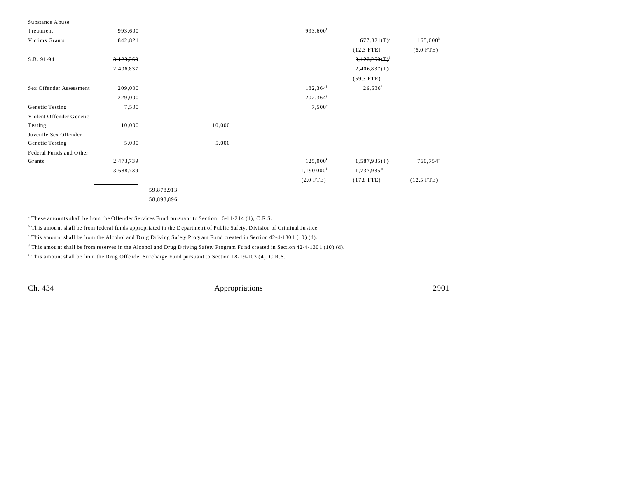| Substance Abuse          |           |            |        |                          |                        |                        |
|--------------------------|-----------|------------|--------|--------------------------|------------------------|------------------------|
| Treatment                | 993,600   |            |        | 993,600 <sup>f</sup>     |                        |                        |
| Victims Grants           | 842,821   |            |        |                          | $677,821(T)^{s}$       | $165,000^h$            |
|                          |           |            |        |                          | $(12.3$ FTE)           | $(5.0$ FTE)            |
| S.B. 91-94               | 3,123,260 |            |        |                          | 3,123,260(T)           |                        |
|                          | 2,406,837 |            |        |                          | $2,406,837(T)^{i}$     |                        |
|                          |           |            |        |                          | $(59.3$ FTE)           |                        |
| Sex Offender Assessment  | 209,000   |            |        | 182,364                  | $26,636^k$             |                        |
|                          | 229,000   |            |        | $202,364^{\circ}$        |                        |                        |
| Genetic Testing          | 7,500     |            |        | $7,500^{\circ}$          |                        |                        |
| Violent Offender Genetic |           |            |        |                          |                        |                        |
| Testing                  | 10,000    |            | 10,000 |                          |                        |                        |
| Juvenile Sex Offender    |           |            |        |                          |                        |                        |
| Genetic Testing          | 5,000     |            | 5,000  |                          |                        |                        |
| Federal Funds and Other  |           |            |        |                          |                        |                        |
| Grants                   | 2,473,739 |            |        | 125,000                  | $1,587,985(T)^m$       | $760,754$ <sup>n</sup> |
|                          | 3,688,739 |            |        | $1,190,000$ <sup>1</sup> | 1,737,985 <sup>m</sup> |                        |
|                          |           |            |        | $(2.0$ FTE)              | $(17.8$ FTE)           | $(12.5$ FTE)           |
|                          |           | 59,878,913 |        |                          |                        |                        |
|                          |           | 58,893,896 |        |                          |                        |                        |

a These amounts shall be from the Offender Services Fund pursuant to Section 16-11-214 (1), C.R.S.

<sup>b</sup> This amount shall be from federal funds appropriated in the Department of Public Safety, Division of Criminal Justice.

This amount shall be from the Alcohol and Drug Driving Safety Program Fund created in Section 42-4-1301 (10) (d).

<sup>d</sup> This amount shall be from reserves in the Alcohol and Drug D riving Safety Program Fund created in Section 42-4-1301 (10) (d).

e This amount shall be from the Drug Offender Surcharge Fund pursuant to Section 18-19-103 (4), C.R.S.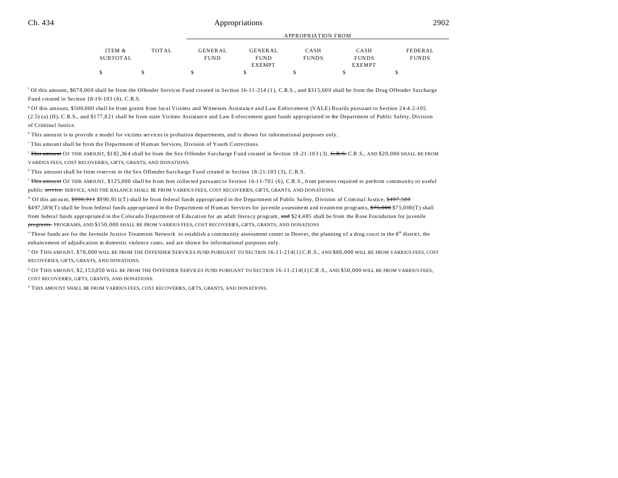| ITEM &   | <b>TOTAL</b> | <b>GENERAL</b> | <b>GENERAL</b> | CASH         | CASH          | FEDERAL      |
|----------|--------------|----------------|----------------|--------------|---------------|--------------|
| SUBTOTAL |              | <b>FUND</b>    | <b>FUND</b>    | <b>FUNDS</b> | <b>FUNDS</b>  | <b>FUNDS</b> |
|          |              |                | <b>EXEMPT</b>  |              | <b>EXEMPT</b> |              |
| \$       |              |                |                |              |               |              |

APPROPRIATION FROM

<sup>f</sup> Of this amount, \$678,000 shall be from the Offender Services Fund created in Section 16-11-214 (1), C.R.S., and \$315,600 shall be from the Drug Offender Surcharge Fund created in Section 18-19-103 (4), C.R.S.

g Of this amount, \$500,000 shall be from grants from local Victims and Witnesses Assistance and Law Enforcement (VALE) Boards pursuant to Section 24-4.2-105

(2.5) (a) (II), C.R.S., and \$1 77,8 21 shall be from state Victims Assistance and Law Enforcement grant funds appropriated in the Department of Public Safety, Division of Criminal Justice.

<sup>h</sup> This amount is to provide a model for victims services in probation departments, and is shown for informational purposes only.

This amount shall be from the Department of Human Services, Division of Youth Corrections.

<sup>j</sup> This amount OF THIS AMOUNT, \$182,364 shall be from the Sex Offender Surcharge Fund created in Section 18-21-103 (3), C.R.S. C.R.S., AND \$20,000 SHALL BE FROM VARIOUS FEES, COST RECOVERIES, GIFTS, GRANTS, AND DONATIONS.

k This amount shall be from reserves in the Sex Offender Surcharge Fund created in Section 18-21-103 (3), C.R.S.

<sup>1</sup> This amount OF THIS AMOUNT, \$125,000 shall be from fees collected pursuant to Section 16-11-701 (6), C.R.S., from persons required to perform community or useful public service. SERVICE, AND THE BALANCE SHALL BE FROM VARIOUS FEES, COST RECOVERIES, GIFTS, GRANTS, AND DONATIONS.

<sup>m</sup> Of this amount, <del>\$990,911</del> \$990,911(T) shall be from federal funds appropriated in the Department of Public Safety, Division of Criminal Justice, <del>\$497,589</del> \$497,589(T) shall be from federal funds appropriated in the Department of Human Services for juvenile a ssessment and treatment programs, \$75,000 \$75,000 (T) shall from federal funds appropriated in the Colorado Department of Education for an adult literacy program, and \$24,485 shall be from the Rose Foundation for juvenile programs. PROGRAMS, AND \$150,000 SHALL BE FROM VARIOUS FEES, COST RECOVERIES, GIFTS, GRANTS, AND DONATIONS

" These funds are for the Juvenile Justice Treatment Network to establish a community assessment center in Denver, the planning of a drug court in the 8<sup>th</sup> district, the enhancement of adjudication in domestic violence cases, and are shown for informational purposes only.

o OF THIS AMOUNT, \$78,000 WILL BE FROM THE OFFENDER SERVICES FUND PURSUANT TO SECTION 16-11-214(1) C.R.S., AND \$80,000 WILL BE FROM VARIOUS FEES, COST RECOVERIES, GIFTS, GRANTS, AND DONATIONS.

p OF THIS AMOUNT, \$2,153,050 WILL BE FROM THE OFFENDER SERVICES FUND PURSUANT TO SECTION 16-11-214(1) C.R.S., AND \$50,000 WILL BE FROM VARIOUS FEES, COST RECOVERIES, GIFTS, GRANTS, AND DONATIONS.

<sup>q</sup> THIS AMOUNT SHALL BE FROM VARIOUS FEES, COST RECOVERIES, GIFTS, GRANTS, AND DONATIONS.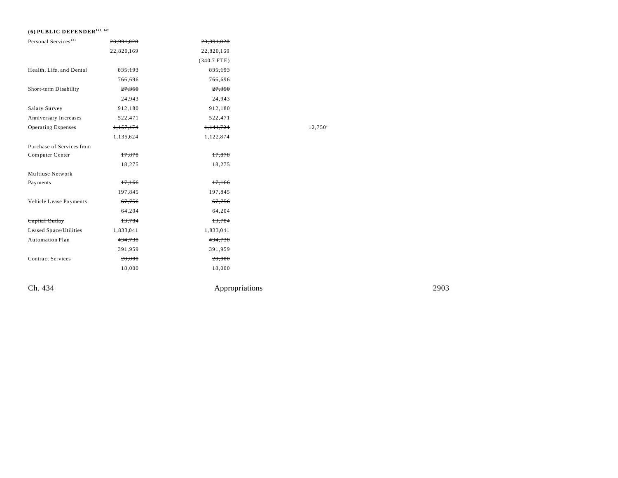## **(6) PUBLIC DEFENDER141, 142**

| Personal Services <sup>131</sup> | 23,991,028 | 23,991,028    |        |
|----------------------------------|------------|---------------|--------|
|                                  | 22,820,169 | 22,820,169    |        |
|                                  |            | $(340.7$ FTE) |        |
| Health, Life, and Dental         | 835,193    | 835,193       |        |
|                                  | 766,696    | 766,696       |        |
| Short-term Disability            | 27,350     | 27,350        |        |
|                                  | 24,943     | 24,943        |        |
| Salary Survey                    | 912,180    | 912,180       |        |
| Anniversary Increases            | 522,471    | 522,471       |        |
| Operating Expenses               | 1,157,474  | 1,144,724     | 12,750 |
|                                  | 1,135,624  | 1,122,874     |        |
| Purchase of Services from        |            |               |        |
| Computer Center                  | 17,878     | 17,878        |        |
|                                  | 18,275     | 18,275        |        |
| Multiuse Network                 |            |               |        |
| Payments                         | 17,166     | 17,166        |        |
|                                  | 197,845    | 197,845       |        |
| Vehicle Lease Payments           | 67,756     | 67,756        |        |
|                                  | 64,204     | 64,204        |        |
| Capital Outlay                   | 13,784     | 13,784        |        |
| Leased Space/Utilities           | 1,833,041  | 1,833,041     |        |
| Automation Plan                  | 434,738    | 434,738       |        |
|                                  | 391,959    | 391,959       |        |
| <b>Contract Services</b>         | 20,000     | 20,000        |        |
|                                  | 18,000     | 18,000        |        |
|                                  |            |               |        |

Ch. 434 Appropriations 2903

 $12,750^{\circ}$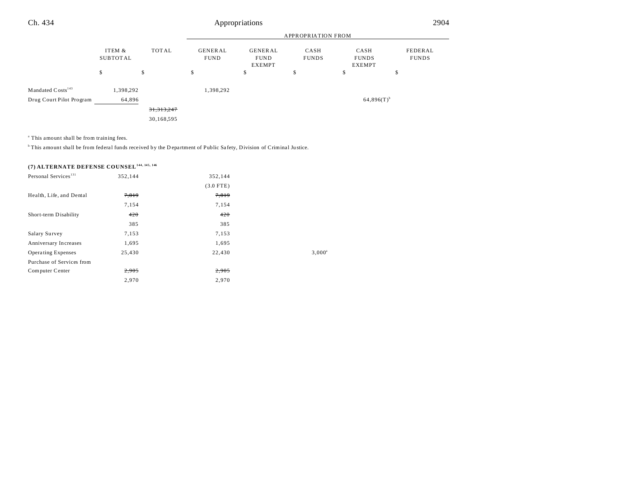|                               |                    |              | APPROPRIATION FROM            |                                         |                      |                                       |                         |  |
|-------------------------------|--------------------|--------------|-------------------------------|-----------------------------------------|----------------------|---------------------------------------|-------------------------|--|
|                               | ITEM &<br>SUBTOTAL | TOTAL        | <b>GENERAL</b><br><b>FUND</b> | GENERAL<br><b>FUND</b><br><b>EXEMPT</b> | CASH<br><b>FUNDS</b> | CASH<br><b>FUNDS</b><br><b>EXEMPT</b> | FEDERAL<br><b>FUNDS</b> |  |
|                               | \$                 | \$           | \$                            | \$                                      | \$                   | \$                                    | \$                      |  |
| Mandated Costs <sup>143</sup> | 1,398,292          |              | 1,398,292                     |                                         |                      |                                       |                         |  |
| Drug Court Pilot Program      | 64,896             |              |                               |                                         |                      | $64,896(T)$ <sup>b</sup>              |                         |  |
|                               |                    | 31, 313, 247 |                               |                                         |                      |                                       |                         |  |
|                               |                    | 30,168,595   |                               |                                         |                      |                                       |                         |  |

<sup>a</sup> This amount shall be from training fees.

<sup>b</sup>This amount shall be from federal funds received by the D epartment of Public Safety, Division of Criminal Justice.

# **(7) ALTERNATE DEFENSE COUNSEL144, 145, 146**

| Personal Services <sup>131</sup> | 352,144 | 352,144     |                 |
|----------------------------------|---------|-------------|-----------------|
|                                  |         | $(3.0$ FTE) |                 |
| Health, Life, and Dental         | 7,819   | 7,819       |                 |
|                                  | 7,154   | 7,154       |                 |
| Short-term Disability            | 420     | 420         |                 |
|                                  | 385     | 385         |                 |
| Salary Survey                    | 7,153   | 7,153       |                 |
| Anniversary Increases            | 1,695   | 1,695       |                 |
| <b>Operating Expenses</b>        | 25,430  | 22,430      | $3,000^{\circ}$ |
| Purchase of Services from        |         |             |                 |
| Computer Center                  | 2,905   | 2,905       |                 |
|                                  | 2,970   | 2,970       |                 |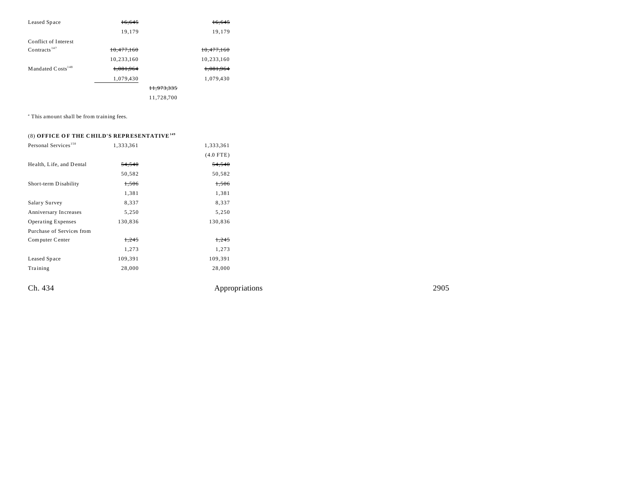| Leased Space                  | 16.645     |                       | 16.645     |
|-------------------------------|------------|-----------------------|------------|
|                               | 19,179     |                       | 19,179     |
| Conflict of Interest          |            |                       |            |
| Contracts <sup>147</sup>      | 10,477,160 |                       | 10,477,160 |
|                               | 10,233,160 |                       | 10,233,160 |
| Mandated Costs <sup>148</sup> | 1.081.964  |                       | 1.081.964  |
|                               | 1,079,430  |                       | 1,079,430  |
|                               |            | <del>11,973,335</del> |            |
|                               |            | 11,728,700            |            |

<sup>a</sup> This amount shall be from training fees.

### (8) **OFFICE O F THE C HILD'S REPR ESENTATIVE<sup>149</sup>**

| Personal Services <sup>150</sup> | 1,333,361 | 1,333,361   |
|----------------------------------|-----------|-------------|
|                                  |           | $(4.0$ FTE) |
| Health, Life, and Dental         | 54,540    | 54,540      |
|                                  | 50,582    | 50,582      |
| Short-term Disability            | 1,506     | 1,506       |
|                                  | 1,381     | 1,381       |
| Salary Survey                    | 8,337     | 8,337       |
| Anniversary Increases            | 5,250     | 5,250       |
| <b>Operating Expenses</b>        | 130,836   | 130,836     |
| Purchase of Services from        |           |             |
| Computer Center                  | 1,245     | 1,245       |
|                                  | 1,273     | 1,273       |
| Leased Space                     | 109,391   | 109,391     |
| Training                         | 28,000    | 28,000      |
|                                  |           |             |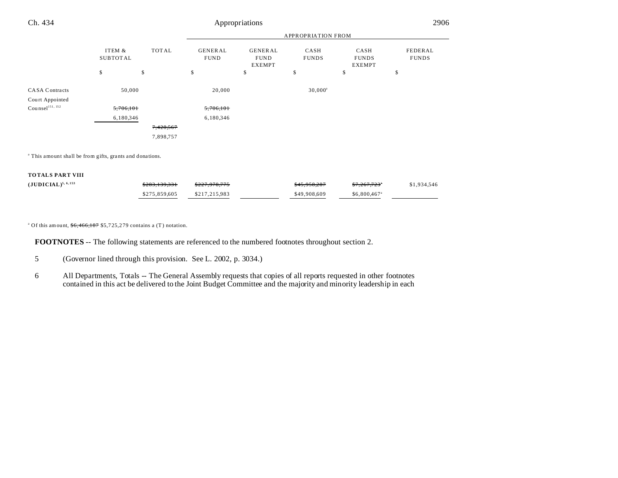| Ch. 434                                                             |                           | Appropriations |                               |                                                |                      |                                       |                         | 2906 |
|---------------------------------------------------------------------|---------------------------|----------------|-------------------------------|------------------------------------------------|----------------------|---------------------------------------|-------------------------|------|
|                                                                     |                           |                |                               | <b>APPROPRIATION FROM</b>                      |                      |                                       |                         |      |
|                                                                     | ITEM &<br><b>SUBTOTAL</b> | <b>TOTAL</b>   | <b>GENERAL</b><br><b>FUND</b> | <b>GENERAL</b><br><b>FUND</b><br><b>EXEMPT</b> | CASH<br><b>FUNDS</b> | CASH<br><b>FUNDS</b><br><b>EXEMPT</b> | FEDERAL<br><b>FUNDS</b> |      |
|                                                                     | \$                        | \$             | \$                            | \$                                             | \$                   | \$                                    | \$                      |      |
| <b>CASA Contracts</b><br>Court Appointed                            |                           | 50,000         | 20,000                        |                                                | $30,000^a$           |                                       |                         |      |
| $\mathrm{Cou} \, \mathrm{n} \mathrm{se} \mathrm{l}^{151, \ 152}$    |                           | 5,706,101      | 5,706,101                     |                                                |                      |                                       |                         |      |
|                                                                     |                           | 6,180,346      | 6,180,346                     |                                                |                      |                                       |                         |      |
|                                                                     |                           | 7,428,567      |                               |                                                |                      |                                       |                         |      |
|                                                                     |                           | 7,898,757      |                               |                                                |                      |                                       |                         |      |
| <sup>a</sup> This amount shall be from gifts, grants and donations. |                           |                |                               |                                                |                      |                                       |                         |      |
| <b>TOTALS PART VIII</b>                                             |                           |                |                               |                                                |                      |                                       |                         |      |

| $(JUDICIAL)^{5, 6, 153}$ | \$283,139,331 | <del>\$227,978,775</del> | \$45,958,287 | <del>\$7,267,723</del> °  | \$1,934,546 |
|--------------------------|---------------|--------------------------|--------------|---------------------------|-------------|
|                          | \$275,859,605 | \$217.215.983            | \$49,908,609 | $$6,800,467$ <sup>a</sup> |             |

<sup>a</sup> Of this amount,  $$6,466,187$  \$5,725,279 contains a (T) notation.

**FOOTNOTES** -- The following statements are referenced to the numbered footnotes throughout section 2.

- 5 (Governor lined through this provision. See L. 2002, p. 3034.)
- 6 All Departments, Totals -- The General Assembly requests that copies of all reports requested in other footnotes contained in this act be delivered to the Joint Budget Committee and the majority and minority leadership in each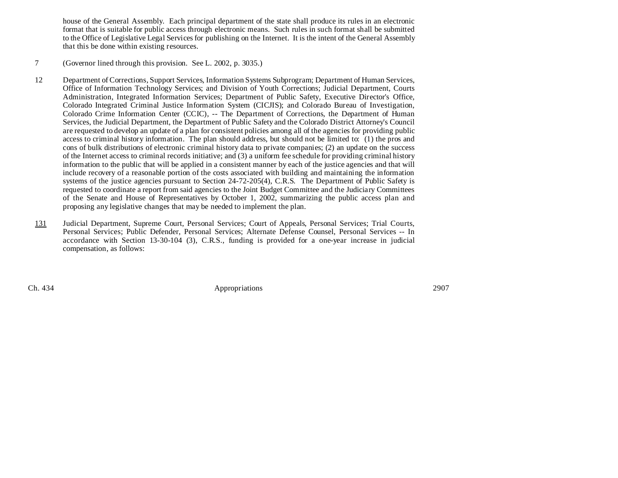house of the General Assembly. Each principal department of the state shall produce its rules in an electronic format that is suitable for public access through electronic means. Such rules in such format shall be submitted to the Office of Legislative Legal Services for publishing on the Internet. It is the intent of the General Assembly that this be done within existing resources.

### 7 (Governor lined through this provision. See L. 2002, p. 3035.)

- 12 Department of Corrections, Support Services, Information Systems Subprogram; Department of Human Services, Office of Information Technology Services; and Division of Youth Corrections; Judicial Department, Courts Administration, Integrated Information Services; Department of Public Safety, Executive Director's Office, Colorado Integrated Criminal Justice Information System (CICJIS); and Colorado Bureau of Investigation, Colorado Crime Information Center (CCIC), -- The Department of Corrections, the Department of Human Services, the Judicial Department, the Department of Public Safety and the Colorado District Attorney's Council are requested to develop an update of a plan for consistent policies among all of the agencies for providing public access to criminal history information. The plan should address, but should not be limited to: (1) the pros and cons of bulk distributions of electronic criminal history data to private companies; (2) an update on the success of the Internet access to criminal records initiative; and (3) a uniform fee schedule for providing criminal history information to the public that will be applied in a consistent manner by each of the justice agencies and that will include recovery of a reasonable portion of the costs associated with building and maintaining the information systems of the justice agencies pursuant to Section 24-72-205(4), C.R.S. The Department of Public Safety is requested to coordinate a report from said agencies to the Joint Budget Committee and the Judiciary Committees of the Senate and House of Representatives by October 1, 2002, summarizing the public access plan and proposing any legislative changes that may be needed to implement the plan.
- 131 Judicial Department, Supreme Court, Personal Services; Court of Appeals, Personal Services; Trial Courts, Personal Services; Public Defender, Personal Services; Alternate Defense Counsel, Personal Services -- In accordance with Section 13-30-104 (3), C.R.S., funding is provided for a one-year increase in judicial compensation, as follows: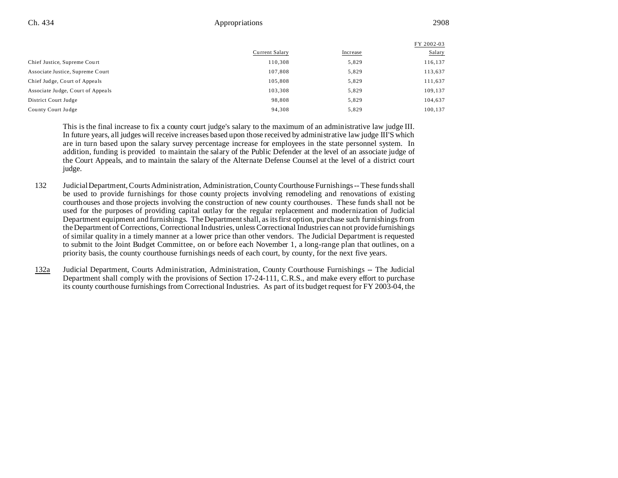|                                   |                |          | FY 2002-03 |
|-----------------------------------|----------------|----------|------------|
|                                   | Current Salary | Increase | Salary     |
| Chief Justice, Supreme Court      | 110,308        | 5,829    | 116,137    |
| Associate Justice, Supreme Court  | 107,808        | 5,829    | 113,637    |
| Chief Judge, Court of Appeals     | 105.808        | 5,829    | 111,637    |
| Associate Judge, Court of Appeals | 103,308        | 5,829    | 109,137    |
| District Court Judge              | 98,808         | 5,829    | 104,637    |
| County Court Judge                | 94,308         | 5,829    | 100,137    |

This is the final increase to fix a county court judge's salary to the maximum of an administrative law judge III. In future years, all judges will receive increases based upon those received by administrative law judge III'S which are in turn based upon the salary survey percentage increase for employees in the state personnel system. In addition, funding is provided to maintain the salary of the Public Defender at the level of an associate judge of the Court Appeals, and to maintain the salary of the Alternate Defense Counsel at the level of a district court judge.

- 132 Judicial Department, Courts Administration, Administration, County Courthouse Furnishings -- These funds shall be used to provide furnishings for those county projects involving remodeling and renovations of existing courthouses and those projects involving the construction of new county courthouses. These funds shall not be used for the purposes of providing capital outlay for the regular replacement and modernization of Judicial Department equipment and furnishings. The Department shall, as its first option, purchase such furnishings from the Department of Corrections, Correctional Industries, unless Correctional Industries can not provide furnishings of similar quality in a timely manner at a lower price than other vendors. The Judicial Department is requested to submit to the Joint Budget Committee, on or before each November 1, a long-range plan that outlines, on a priority basis, the county courthouse furnishings needs of each court, by county, for the next five years.
- 132a Judicial Department, Courts Administration, Administration, County Courthouse Furnishings -- The Judicial Department shall comply with the provisions of Section 17-24-111, C.R.S., and make every effort to purchase its county courthouse furnishings from Correctional Industries. As part of its budget request for FY 2003-04, the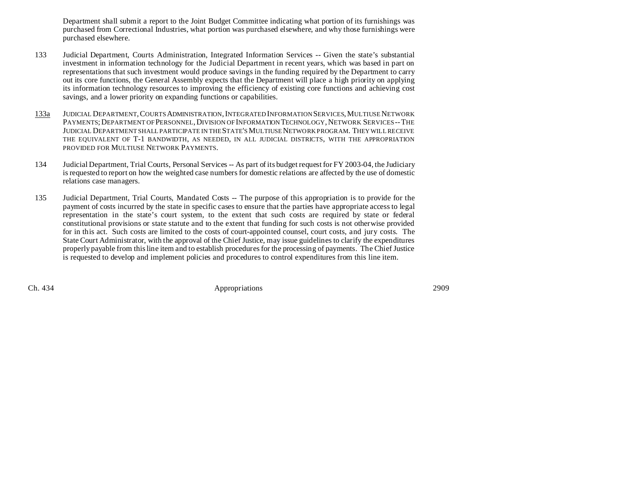Department shall submit a report to the Joint Budget Committee indicating what portion of its furnishings was purchased from Correctional Industries, what portion was purchased elsewhere, and why those furnishings were purchased elsewhere.

- 133 Judicial Department, Courts Administration, Integrated Information Services -- Given the state's substantial investment in information technology for the Judicial Department in recent years, which was based in part on representations that such investment would produce savings in the funding required by the Department to carry out its core functions, the General Assembly expects that the Department will place a high priority on applying its information technology resources to improving the efficiency of existing core functions and achieving cost savings, and a lower priority on expanding functions or capabilities.
- 133a JUDICIAL DEPARTMENT,COURTS ADMINISTRATION,INTEGRATED INFORMATION SERVICES,MULTIUSE NETWORK PAYMENTS; DEPARTMENT OF PERSONNEL, DIVISION OF INFORMATION TECHNOLOGY, NETWORK SERVICES -- THE JUDICIAL DEPARTMENT SHALL PARTICIPATE IN THE STATE'S MULTIUSE NETWORK PROGRAM. THEY WILL RECEIVE THE EQUIVALENT OF T-1 BANDWIDTH, AS NEEDED, IN ALL JUDICIAL DISTRICTS, WITH THE APPROPRIATION PROVIDED FOR MULTIUSE NETWORK PAYMENTS.
- 134 Judicial Department, Trial Courts, Personal Services -- As part of its budget request for FY 2003-04, the Judiciary is requested to report on how the weighted case numbers for domestic relations are affected by the use of domestic relations case managers.
- 135 Judicial Department, Trial Courts, Mandated Costs -- The purpose of this appropriation is to provide for the payment of costs incurred by the state in specific cases to ensure that the parties have appropriate access to legal representation in the state's court system, to the extent that such costs are required by state or federal constitutional provisions or state statute and to the extent that funding for such costs is not otherwise provided for in this act. Such costs are limited to the costs of court-appointed counsel, court costs, and jury costs. The State Court Administrator, with the approval of the Chief Justice, may issue guidelines to clarify the expenditures properly payable from this line item and to establish procedures for the processing of payments. The Chief Justice is requested to develop and implement policies and procedures to control expenditures from this line item.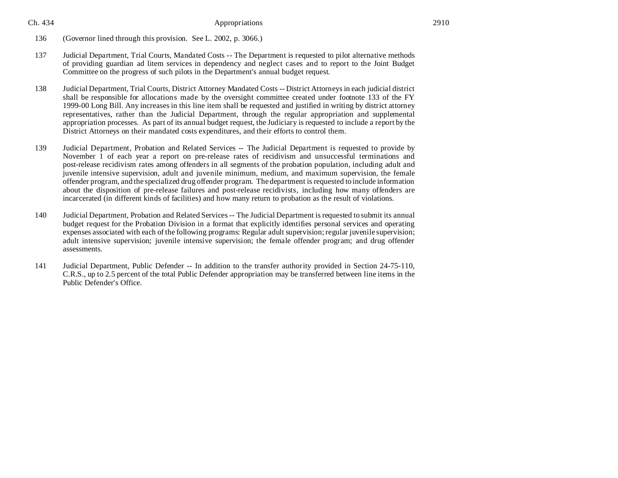- 136 (Governor lined through this provision. See L. 2002, p. 3066.)
- 137 Judicial Department, Trial Courts, Mandated Costs -- The Department is requested to pilot alternative methods of providing guardian ad litem services in dependency and neglect cases and to report to the Joint Budget Committee on the progress of such pilots in the Department's annual budget request.
- 138 Judicial Department, Trial Courts, District Attorney Mandated Costs -- District Attorneys in each judicial district shall be responsible for allocations made by the oversight committee created under footnote 133 of the FY 1999-00 Long Bill. Any increases in this line item shall be requested and justified in writing by district attorney representatives, rather than the Judicial Department, through the regular appropriation and supplemental appropriation processes. As part of its annual budget request, the Judiciary is requested to include a report by the District Attorneys on their mandated costs expenditures, and their efforts to control them.
- 139 Judicial Department, Probation and Related Services -- The Judicial Department is requested to provide by November 1 of each year a report on pre-release rates of recidivism and unsuccessful terminations and post-release recidivism rates among offenders in all segments of the probation population, including adult and juvenile intensive supervision, adult and juvenile minimum, medium, and maximum supervision, the female offender program, and the specialized drug offender program. The department is requested to include information about the disposition of pre-release failures and post-release recidivists, including how many offenders are incarcerated (in different kinds of facilities) and how many return to probation as the result of violations.
- 140 Judicial Department, Probation and Related Services -- The Judicial Department is requested to submit its annual budget request for the Probation Division in a format that explicitly identifies personal services and operating expenses associated with each of the following programs: Regular adult supervision; regular juvenile supervision; adult intensive supervision; juvenile intensive supervision; the female offender program; and drug offender assessments.
- 141 Judicial Department, Public Defender -- In addition to the transfer authority provided in Section 24-75-110, C.R.S., up to 2.5 percent of the total Public Defender appropriation may be transferred between line items in the Public Defender's Office.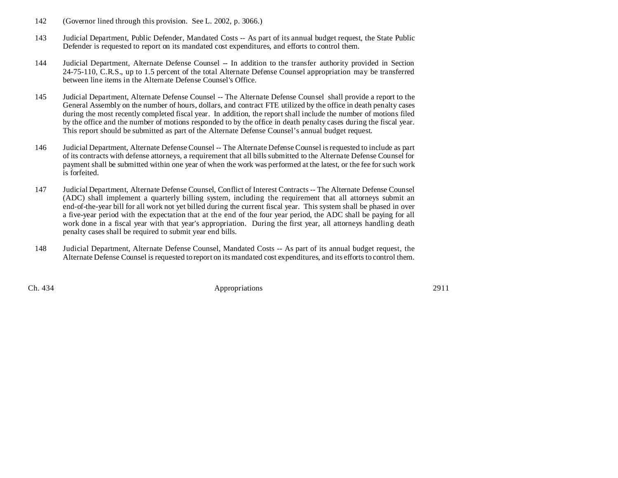- 142 (Governor lined through this provision. See L. 2002, p. 3066.)
- 143 Judicial Department, Public Defender, Mandated Costs -- As part of its annual budget request, the State Public Defender is requested to report on its mandated cost expenditures, and efforts to control them.
- 144 Judicial Department, Alternate Defense Counsel -- In addition to the transfer authority provided in Section 24-75-110, C.R.S., up to 1.5 percent of the total Alternate Defense Counsel appropriation may be transferred between line items in the Alternate Defense Counsel's Office.
- 145 Judicial Department, Alternate Defense Counsel -- The Alternate Defense Counsel shall provide a report to the General Assembly on the number of hours, dollars, and contract FTE utilized by the office in death penalty cases during the most recently completed fiscal year. In addition, the report shall include the number of motions filed by the office and the number of motions responded to by the office in death penalty cases during the fiscal year. This report should be submitted as part of the Alternate Defense Counsel's annual budget request.
- 146 Judicial Department, Alternate Defense Counsel -- The Alternate Defense Counsel is requested to include as part of its contracts with defense attorneys, a requirement that all bills submitted to the Alternate Defense Counsel for payment shall be submitted within one year of when the work was performed at the latest, or the fee for such work is forfeited.
- 147 Judicial Department, Alternate Defense Counsel, Conflict of Interest Contracts -- The Alternate Defense Counsel (ADC) shall implement a quarterly billing system, including the requirement that all attorneys submit an end-of-the-year bill for all work not yet billed during the current fiscal year. This system shall be phased in over a five-year period with the expectation that at the end of the four year period, the ADC shall be paying for all work done in a fiscal year with that year's appropriation. During the first year, all attorneys handling death penalty cases shall be required to submit year end bills.
- 148 Judicial Department, Alternate Defense Counsel, Mandated Costs -- As part of its annual budget request, the Alternate Defense Counsel is requested to report on its mandated cost expenditures, and its efforts to control them.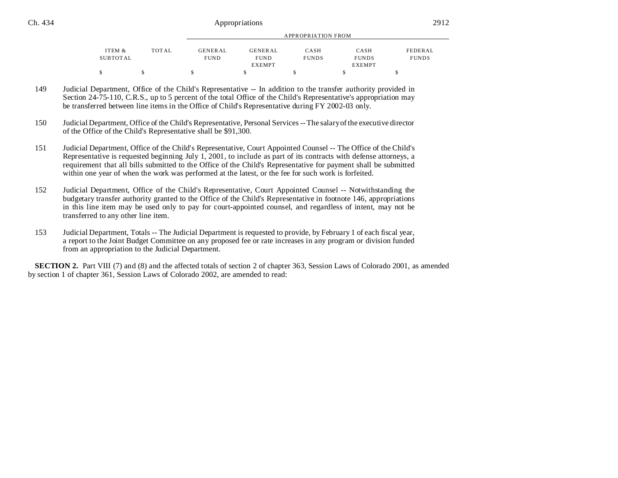| ITEM &   | TOTAL | <b>GENERAL</b> | <b>GENERAL</b> | <b>CASH</b>  | CASH          | FEDERAL      |  |
|----------|-------|----------------|----------------|--------------|---------------|--------------|--|
| SUBTOTAL |       | <b>FUND</b>    | <b>FUND</b>    | <b>FUNDS</b> | <b>FUNDS</b>  | <b>FUNDS</b> |  |
|          |       |                | <b>EXEMPT</b>  |              | <b>EXEMPT</b> |              |  |
|          |       |                |                |              |               |              |  |
|          |       |                |                |              |               |              |  |

APPROPRIATION FROM

- 149 Judicial Department, Office of the Child's Representative -- In addition to the transfer authority provided in Section 24-75-110, C.R.S., up to 5 percent of the total Office of the Child's Representative's appropriation may be transferred between line items in the Office of Child's Representative during FY 2002-03 only.
- 150 Judicial Department, Office of the Child's Representative, Personal Services -- The salary of the executive director of the Office of the Child's Representative shall be \$91,300.
- 151 Judicial Department, Office of the Child's Representative, Court Appointed Counsel -- The Office of the Child's Representative is requested beginning July 1, 2001, to include as part of its contracts with defense attorneys, a requirement that all bills submitted to the Office of the Child's Representative for payment shall be submitted within one year of when the work was performed at the latest, or the fee for such work is forfeited.
- 152 Judicial Department, Office of the Child's Representative, Court Appointed Counsel -- Notwithstanding the budgetary transfer authority granted to the Office of the Child's Representative in footnote 146, appropriations in this line item may be used only to pay for court-appointed counsel, and regardless of intent, may not be transferred to any other line item.
- 153 Judicial Department, Totals -- The Judicial Department is requested to provide, by February 1 of each fiscal year, a report to the Joint Budget Committee on any proposed fee or rate increases in any program or division funded from an appropriation to the Judicial Department.

**SECTION 2.** Part VIII (7) and (8) and the affected totals of section 2 of chapter 363, Session Laws of Colorado 2001, as amended by section 1 of chapter 361, Session Laws of Colorado 2002, are amended to read: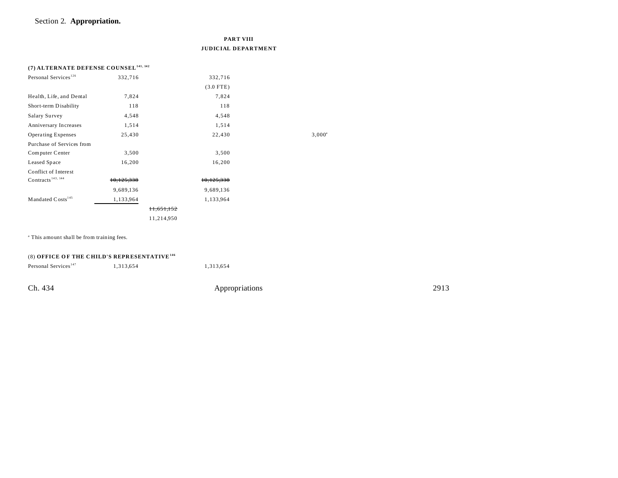## Section 2. **Appropriation.**

|                                                   |            | <b>PART VIII</b><br><b>JUDICIAL DEPARTMENT</b> |                 |
|---------------------------------------------------|------------|------------------------------------------------|-----------------|
| (7) ALTERNATE DEFENSE COUNSEL <sup>141, 142</sup> |            |                                                |                 |
| Personal Services <sup>126</sup>                  | 332,716    | 332,716                                        |                 |
|                                                   |            | $(3.0$ FTE)                                    |                 |
| Health, Life, and Dental                          | 7,824      | 7,824                                          |                 |
| Short-term Disability                             | 118        | 118                                            |                 |
| Salary Survey                                     | 4,548      | 4,548                                          |                 |
| Anniversary Increases                             | 1,514      | 1,514                                          |                 |
| <b>Operating Expenses</b>                         | 25,430     | 22,430                                         | $3,000^{\circ}$ |
| Purchase of Services from                         |            |                                                |                 |
| Computer Center                                   | 3,500      | 3,500                                          |                 |
| Leased Space                                      | 16,200     | 16,200                                         |                 |
| Conflict of Interest                              |            |                                                |                 |
| Contracts <sup>143, 144</sup>                     | 10,125,338 | 10,125,338                                     |                 |
|                                                   | 9,689,136  | 9,689,136                                      |                 |
| Mandated Costs <sup>145</sup>                     | 1,133,964  | 1,133,964                                      |                 |
|                                                   |            | 11,651,152                                     |                 |
|                                                   |            | 11,214,950                                     |                 |

<sup>a</sup> This amount shall be from training fees.

| (8) OFFICE OF THE CHILD'S REPRESENTATIVE <sup>146</sup> |           |                |      |  |  |  |  |
|---------------------------------------------------------|-----------|----------------|------|--|--|--|--|
| Personal Services <sup>147</sup>                        | 1.313.654 | 1.313.654      |      |  |  |  |  |
| Ch. 434                                                 |           | Appropriations | 2913 |  |  |  |  |